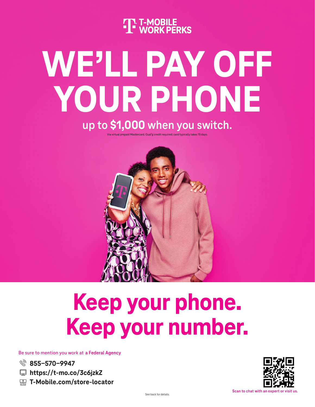**THE T-MOBILE**<br>THE WORK PERKS

# **WE'LL PAY OFF YOUR PHONE**

**up to \$1,000 when you switch.**

Via virtual prepaid Mastercard. Qual'g credit required; card typically takes 15 days.



## **Keep your phone. Keep your number.**

Be sure to mention you work at a Federal Agency

- **855-570-9947**
- **<u></u> [h](https://t-mo.co/3c6jzkZ)ttps://t-mo.co/3c6jzkZ**
- **T-Mobile.com/store-locator**